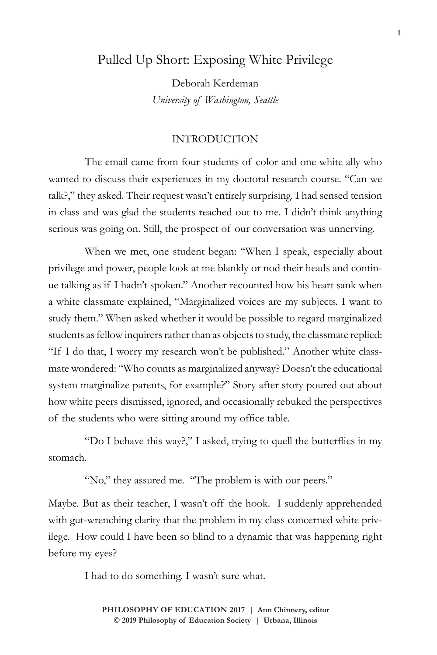# Pulled Up Short: Exposing White Privilege

Deborah Kerdeman *University of Washington, Seattle*

# INTRODUCTION

The email came from four students of color and one white ally who wanted to discuss their experiences in my doctoral research course. "Can we talk?," they asked. Their request wasn't entirely surprising. I had sensed tension in class and was glad the students reached out to me. I didn't think anything serious was going on. Still, the prospect of our conversation was unnerving.

When we met, one student began: "When I speak, especially about privilege and power, people look at me blankly or nod their heads and continue talking as if I hadn't spoken." Another recounted how his heart sank when a white classmate explained, "Marginalized voices are my subjects. I want to study them." When asked whether it would be possible to regard marginalized students as fellow inquirers rather than as objects to study, the classmate replied: "If I do that, I worry my research won't be published." Another white classmate wondered: "Who counts as marginalized anyway? Doesn't the educational system marginalize parents, for example?" Story after story poured out about how white peers dismissed, ignored, and occasionally rebuked the perspectives of the students who were sitting around my office table.

"Do I behave this way?," I asked, trying to quell the butterflies in my stomach.

"No," they assured me. "The problem is with our peers."

Maybe. But as their teacher, I wasn't off the hook. I suddenly apprehended with gut-wrenching clarity that the problem in my class concerned white privilege. How could I have been so blind to a dynamic that was happening right before my eyes?

I had to do something. I wasn't sure what.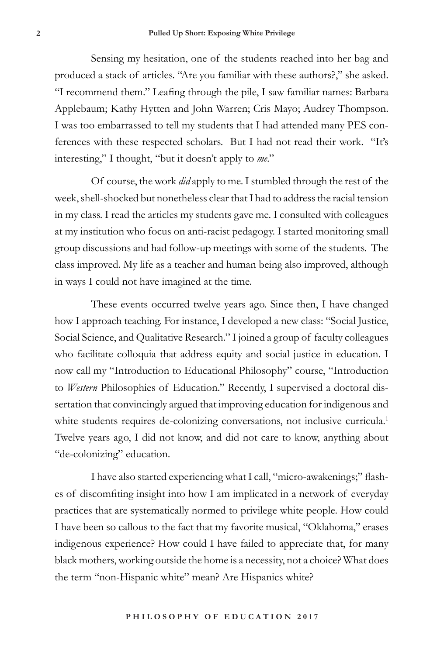Sensing my hesitation, one of the students reached into her bag and produced a stack of articles. "Are you familiar with these authors?," she asked. "I recommend them." Leafing through the pile, I saw familiar names: Barbara Applebaum; Kathy Hytten and John Warren; Cris Mayo; Audrey Thompson. I was too embarrassed to tell my students that I had attended many PES conferences with these respected scholars. But I had not read their work. "It's interesting," I thought, "but it doesn't apply to *me*."

Of course, the work *did* apply to me. I stumbled through the rest of the week, shell-shocked but nonetheless clear that I had to address the racial tension in my class. I read the articles my students gave me. I consulted with colleagues at my institution who focus on anti-racist pedagogy. I started monitoring small group discussions and had follow-up meetings with some of the students. The class improved. My life as a teacher and human being also improved, although in ways I could not have imagined at the time.

These events occurred twelve years ago. Since then, I have changed how I approach teaching. For instance, I developed a new class: "Social Justice, Social Science, and Qualitative Research." I joined a group of faculty colleagues who facilitate colloquia that address equity and social justice in education. I now call my "Introduction to Educational Philosophy" course, "Introduction to *Western* Philosophies of Education." Recently, I supervised a doctoral dissertation that convincingly argued that improving education for indigenous and white students requires de-colonizing conversations, not inclusive curricula.<sup>1</sup> Twelve years ago, I did not know, and did not care to know, anything about "de-colonizing" education.

I have also started experiencing what I call, "micro-awakenings;" flashes of discomfiting insight into how I am implicated in a network of everyday practices that are systematically normed to privilege white people. How could I have been so callous to the fact that my favorite musical, "Oklahoma," erases indigenous experience? How could I have failed to appreciate that, for many black mothers, working outside the home is a necessity, not a choice? What does the term "non-Hispanic white" mean? Are Hispanics white?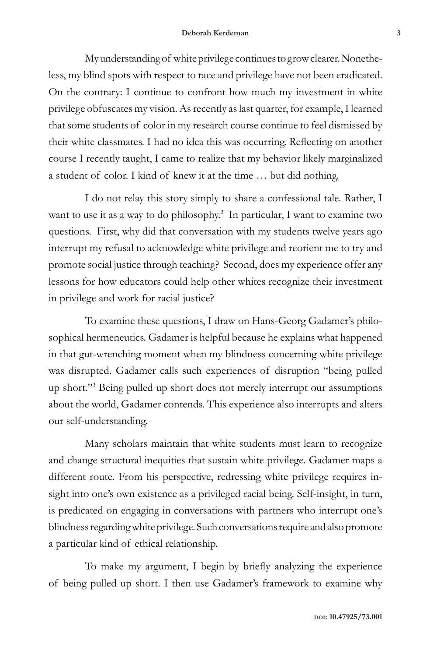My understanding of white privilege continues to grow clearer. Nonetheless, my blind spots with respect to race and privilege have not been eradicated. On the contrary: I continue to confront how much my investment in white privilege obfuscates my vision. As recently as last quarter, for example, I learned that some students of color in my research course continue to feel dismissed by their white classmates. I had no idea this was occurring. Reflecting on another course I recently taught, I came to realize that my behavior likely marginalized a student of color. I kind of knew it at the time … but did nothing.

I do not relay this story simply to share a confessional tale. Rather, I want to use it as a way to do philosophy.<sup>2</sup> In particular, I want to examine two questions. First, why did that conversation with my students twelve years ago interrupt my refusal to acknowledge white privilege and reorient me to try and promote social justice through teaching? Second, does my experience offer any lessons for how educators could help other whites recognize their investment in privilege and work for racial justice?

To examine these questions, I draw on Hans-Georg Gadamer's philosophical hermeneutics. Gadamer is helpful because he explains what happened in that gut-wrenching moment when my blindness concerning white privilege was disrupted. Gadamer calls such experiences of disruption "being pulled up short."3 Being pulled up short does not merely interrupt our assumptions about the world, Gadamer contends. This experience also interrupts and alters our self-understanding.

Many scholars maintain that white students must learn to recognize and change structural inequities that sustain white privilege. Gadamer maps a different route. From his perspective, redressing white privilege requires insight into one's own existence as a privileged racial being. Self-insight, in turn, is predicated on engaging in conversations with partners who interrupt one's blindness regarding white privilege. Such conversations require and also promote a particular kind of ethical relationship.

To make my argument, I begin by briefly analyzing the experience of being pulled up short. I then use Gadamer's framework to examine why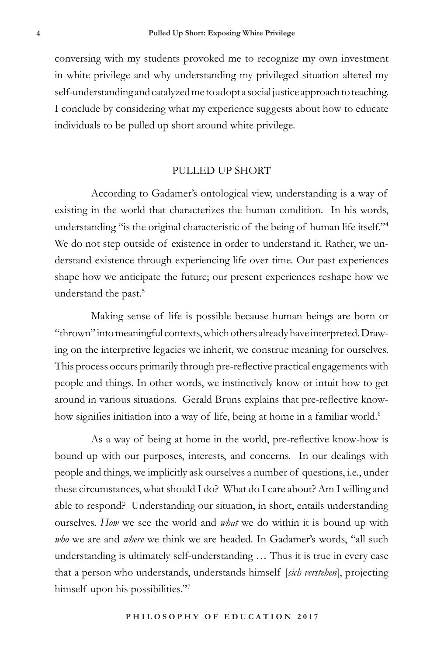conversing with my students provoked me to recognize my own investment in white privilege and why understanding my privileged situation altered my self-understanding and catalyzed me to adopt a social justice approach to teaching. I conclude by considering what my experience suggests about how to educate individuals to be pulled up short around white privilege.

#### PULLED UP SHORT

According to Gadamer's ontological view, understanding is a way of existing in the world that characterizes the human condition. In his words, understanding "is the original characteristic of the being of human life itself."4 We do not step outside of existence in order to understand it. Rather, we understand existence through experiencing life over time. Our past experiences shape how we anticipate the future; our present experiences reshape how we understand the past.<sup>5</sup>

Making sense of life is possible because human beings are born or "thrown" into meaningful contexts, which others already have interpreted. Drawing on the interpretive legacies we inherit, we construe meaning for ourselves. This process occurs primarily through pre-reflective practical engagements with people and things. In other words, we instinctively know or intuit how to get around in various situations. Gerald Bruns explains that pre-reflective knowhow signifies initiation into a way of life, being at home in a familiar world.<sup>6</sup>

As a way of being at home in the world, pre-reflective know-how is bound up with our purposes, interests, and concerns. In our dealings with people and things, we implicitly ask ourselves a number of questions, i.e., under these circumstances, what should I do? What do I care about? Am I willing and able to respond? Understanding our situation, in short, entails understanding ourselves. *How* we see the world and *what* we do within it is bound up with *who* we are and *where* we think we are headed. In Gadamer's words, "all such understanding is ultimately self-understanding … Thus it is true in every case that a person who understands, understands himself [*sich verstehen*], projecting himself upon his possibilities."7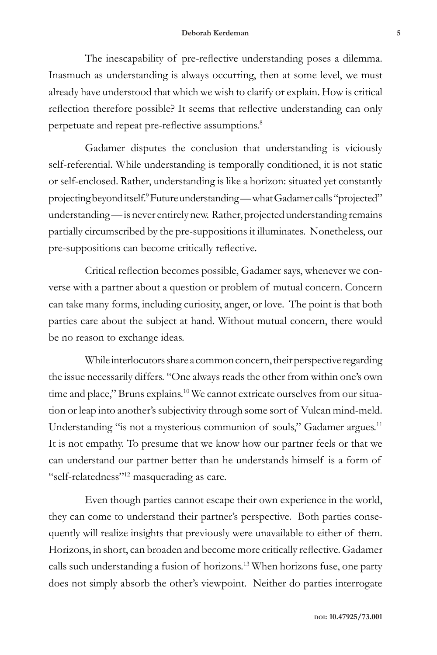The inescapability of pre-reflective understanding poses a dilemma. Inasmuch as understanding is always occurring, then at some level, we must already have understood that which we wish to clarify or explain. How is critical reflection therefore possible? It seems that reflective understanding can only perpetuate and repeat pre-reflective assumptions.<sup>8</sup>

Gadamer disputes the conclusion that understanding is viciously self-referential. While understanding is temporally conditioned, it is not static or self-enclosed. Rather, understanding is like a horizon: situated yet constantly projecting beyond itself.<sup>9</sup> Future understanding—what Gadamer calls "projected" understanding — is never entirely new. Rather, projected understanding remains partially circumscribed by the pre-suppositions it illuminates. Nonetheless, our pre-suppositions can become critically reflective.

Critical reflection becomes possible, Gadamer says, whenever we converse with a partner about a question or problem of mutual concern. Concern can take many forms, including curiosity, anger, or love. The point is that both parties care about the subject at hand. Without mutual concern, there would be no reason to exchange ideas.

While interlocutors share a common concern, their perspective regarding the issue necessarily differs. "One always reads the other from within one's own time and place," Bruns explains.<sup>10</sup> We cannot extricate ourselves from our situation or leap into another's subjectivity through some sort of Vulcan mind-meld. Understanding "is not a mysterious communion of souls," Gadamer argues.<sup>11</sup> It is not empathy. To presume that we know how our partner feels or that we can understand our partner better than he understands himself is a form of "self-relatedness"12 masquerading as care.

Even though parties cannot escape their own experience in the world, they can come to understand their partner's perspective. Both parties consequently will realize insights that previously were unavailable to either of them. Horizons, in short, can broaden and become more critically reflective. Gadamer calls such understanding a fusion of horizons.13 When horizons fuse, one party does not simply absorb the other's viewpoint. Neither do parties interrogate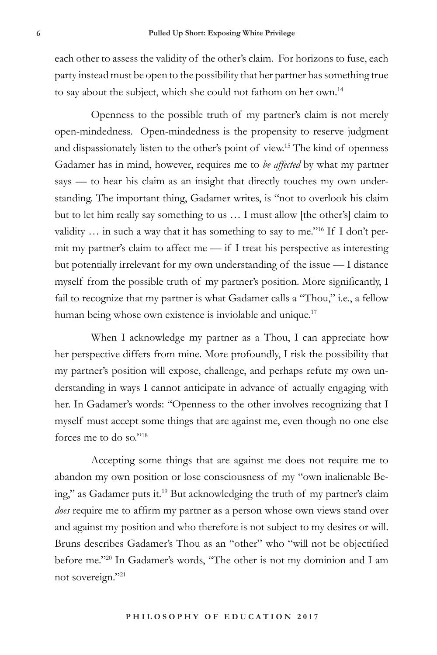each other to assess the validity of the other's claim. For horizons to fuse, each party instead must be open to the possibility that her partner has something true to say about the subject, which she could not fathom on her own.<sup>14</sup>

Openness to the possible truth of my partner's claim is not merely open-mindedness. Open-mindedness is the propensity to reserve judgment and dispassionately listen to the other's point of view.15 The kind of openness Gadamer has in mind, however, requires me to *be affected* by what my partner says — to hear his claim as an insight that directly touches my own understanding. The important thing, Gadamer writes, is "not to overlook his claim but to let him really say something to us … I must allow [the other's] claim to validity ... in such a way that it has something to say to me."<sup>16</sup> If I don't permit my partner's claim to affect me — if I treat his perspective as interesting but potentially irrelevant for my own understanding of the issue — I distance myself from the possible truth of my partner's position. More significantly, I fail to recognize that my partner is what Gadamer calls a "Thou," i.e., a fellow human being whose own existence is inviolable and unique.<sup>17</sup>

When I acknowledge my partner as a Thou, I can appreciate how her perspective differs from mine. More profoundly, I risk the possibility that my partner's position will expose, challenge, and perhaps refute my own understanding in ways I cannot anticipate in advance of actually engaging with her. In Gadamer's words: "Openness to the other involves recognizing that I myself must accept some things that are against me, even though no one else forces me to do so."18

Accepting some things that are against me does not require me to abandon my own position or lose consciousness of my "own inalienable Being," as Gadamer puts it.<sup>19</sup> But acknowledging the truth of my partner's claim *does* require me to affirm my partner as a person whose own views stand over and against my position and who therefore is not subject to my desires or will. Bruns describes Gadamer's Thou as an "other" who "will not be objectified before me."20 In Gadamer's words, "The other is not my dominion and I am not sovereign."21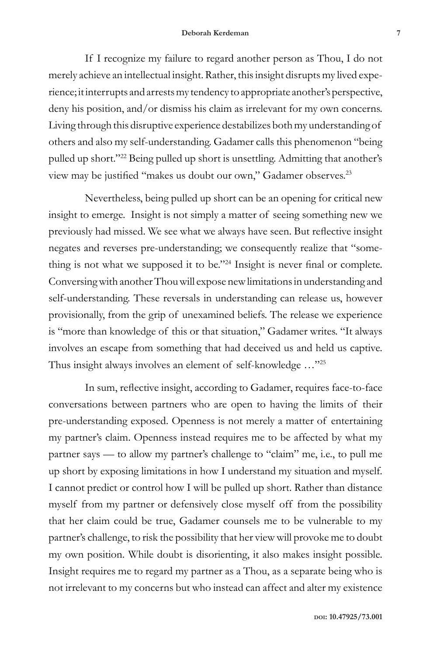#### **Deborah Kerdeman 7**

If I recognize my failure to regard another person as Thou, I do not merely achieve an intellectual insight. Rather, this insight disrupts my lived experience; it interrupts and arrests my tendency to appropriate another's perspective, deny his position, and/or dismiss his claim as irrelevant for my own concerns. Living through this disruptive experience destabilizes both my understanding of others and also my self-understanding. Gadamer calls this phenomenon "being pulled up short."22 Being pulled up short is unsettling. Admitting that another's view may be justified "makes us doubt our own," Gadamer observes.<sup>23</sup>

Nevertheless, being pulled up short can be an opening for critical new insight to emerge. Insight is not simply a matter of seeing something new we previously had missed. We see what we always have seen. But reflective insight negates and reverses pre-understanding; we consequently realize that "something is not what we supposed it to be."24 Insight is never final or complete. Conversing with another Thou will expose new limitations in understanding and self-understanding. These reversals in understanding can release us, however provisionally, from the grip of unexamined beliefs. The release we experience is "more than knowledge of this or that situation," Gadamer writes. "It always involves an escape from something that had deceived us and held us captive. Thus insight always involves an element of self-knowledge …"25

In sum, reflective insight, according to Gadamer, requires face-to-face conversations between partners who are open to having the limits of their pre-understanding exposed. Openness is not merely a matter of entertaining my partner's claim. Openness instead requires me to be affected by what my partner says — to allow my partner's challenge to "claim" me, i.e., to pull me up short by exposing limitations in how I understand my situation and myself. I cannot predict or control how I will be pulled up short. Rather than distance myself from my partner or defensively close myself off from the possibility that her claim could be true, Gadamer counsels me to be vulnerable to my partner's challenge, to risk the possibility that her view will provoke me to doubt my own position. While doubt is disorienting, it also makes insight possible. Insight requires me to regard my partner as a Thou, as a separate being who is not irrelevant to my concerns but who instead can affect and alter my existence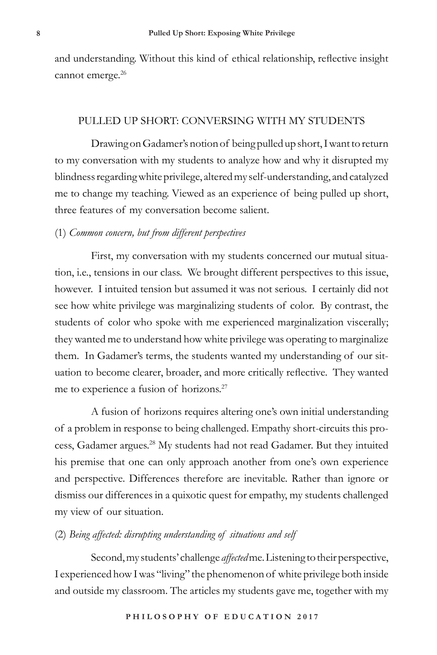and understanding. Without this kind of ethical relationship, reflective insight cannot emerge.<sup>26</sup>

#### PULLED UP SHORT: CONVERSING WITH MY STUDENTS

Drawing on Gadamer's notion of being pulled up short, I want to return to my conversation with my students to analyze how and why it disrupted my blindness regarding white privilege, altered my self-understanding, and catalyzed me to change my teaching. Viewed as an experience of being pulled up short, three features of my conversation become salient.

#### (1) *Common concern, but from different perspectives*

First, my conversation with my students concerned our mutual situation, i.e., tensions in our class. We brought different perspectives to this issue, however. I intuited tension but assumed it was not serious. I certainly did not see how white privilege was marginalizing students of color. By contrast, the students of color who spoke with me experienced marginalization viscerally; they wanted me to understand how white privilege was operating to marginalize them. In Gadamer's terms, the students wanted my understanding of our situation to become clearer, broader, and more critically reflective. They wanted me to experience a fusion of horizons.27

A fusion of horizons requires altering one's own initial understanding of a problem in response to being challenged. Empathy short-circuits this process, Gadamer argues.28 My students had not read Gadamer. But they intuited his premise that one can only approach another from one's own experience and perspective. Differences therefore are inevitable. Rather than ignore or dismiss our differences in a quixotic quest for empathy, my students challenged my view of our situation.

## (2) *Being affected: disrupting understanding of situations and self*

Second, my students' challenge *affected* me. Listening to their perspective, I experienced how I was "living" the phenomenon of white privilege both inside and outside my classroom. The articles my students gave me, together with my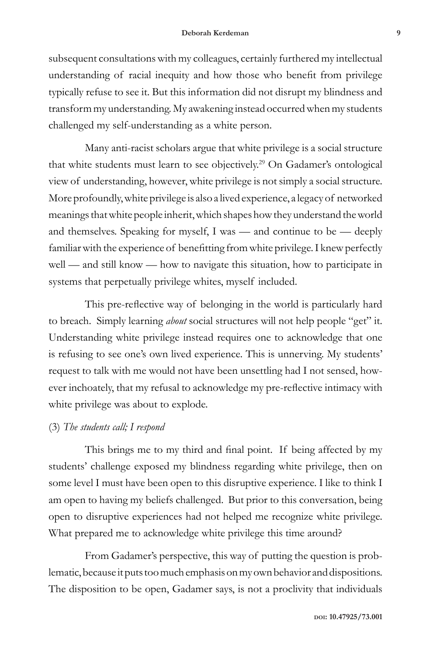subsequent consultations with my colleagues, certainly furthered my intellectual understanding of racial inequity and how those who benefit from privilege typically refuse to see it. But this information did not disrupt my blindness and transform my understanding. My awakening instead occurred when my students challenged my self-understanding as a white person.

Many anti-racist scholars argue that white privilege is a social structure that white students must learn to see objectively.<sup>29</sup> On Gadamer's ontological view of understanding, however, white privilege is not simply a social structure. More profoundly, white privilege is also a lived experience, a legacy of networked meanings that white people inherit, which shapes how they understand the world and themselves. Speaking for myself, I was — and continue to be — deeply familiar with the experience of benefitting from white privilege. I knew perfectly well — and still know — how to navigate this situation, how to participate in systems that perpetually privilege whites, myself included.

This pre-reflective way of belonging in the world is particularly hard to breach. Simply learning *about* social structures will not help people "get" it. Understanding white privilege instead requires one to acknowledge that one is refusing to see one's own lived experience. This is unnerving. My students' request to talk with me would not have been unsettling had I not sensed, however inchoately, that my refusal to acknowledge my pre-reflective intimacy with white privilege was about to explode.

### (3) *The students call; I respond*

This brings me to my third and final point. If being affected by my students' challenge exposed my blindness regarding white privilege, then on some level I must have been open to this disruptive experience. I like to think I am open to having my beliefs challenged. But prior to this conversation, being open to disruptive experiences had not helped me recognize white privilege. What prepared me to acknowledge white privilege this time around?

From Gadamer's perspective, this way of putting the question is problematic, because it puts too much emphasis on my own behavior and dispositions. The disposition to be open, Gadamer says, is not a proclivity that individuals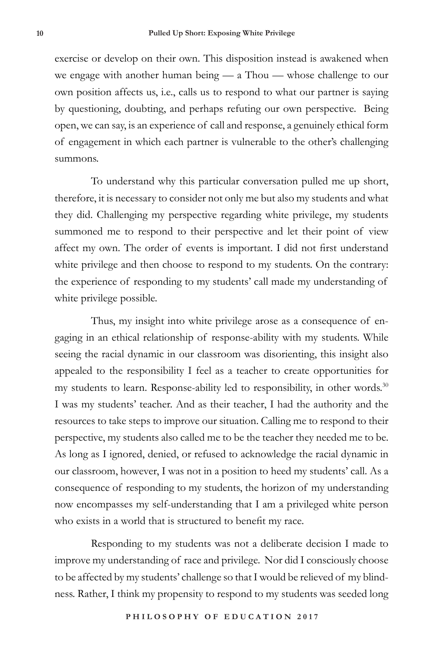exercise or develop on their own. This disposition instead is awakened when we engage with another human being — a Thou — whose challenge to our own position affects us, i.e., calls us to respond to what our partner is saying by questioning, doubting, and perhaps refuting our own perspective. Being open, we can say, is an experience of call and response, a genuinely ethical form of engagement in which each partner is vulnerable to the other's challenging summons.

To understand why this particular conversation pulled me up short, therefore, it is necessary to consider not only me but also my students and what they did. Challenging my perspective regarding white privilege, my students summoned me to respond to their perspective and let their point of view affect my own. The order of events is important. I did not first understand white privilege and then choose to respond to my students. On the contrary: the experience of responding to my students' call made my understanding of white privilege possible.

Thus, my insight into white privilege arose as a consequence of engaging in an ethical relationship of response-ability with my students. While seeing the racial dynamic in our classroom was disorienting, this insight also appealed to the responsibility I feel as a teacher to create opportunities for my students to learn. Response-ability led to responsibility, in other words.<sup>30</sup> I was my students' teacher. And as their teacher, I had the authority and the resources to take steps to improve our situation. Calling me to respond to their perspective, my students also called me to be the teacher they needed me to be. As long as I ignored, denied, or refused to acknowledge the racial dynamic in our classroom, however, I was not in a position to heed my students' call. As a consequence of responding to my students, the horizon of my understanding now encompasses my self-understanding that I am a privileged white person who exists in a world that is structured to benefit my race.

Responding to my students was not a deliberate decision I made to improve my understanding of race and privilege. Nor did I consciously choose to be affected by my students' challenge so that I would be relieved of my blindness. Rather, I think my propensity to respond to my students was seeded long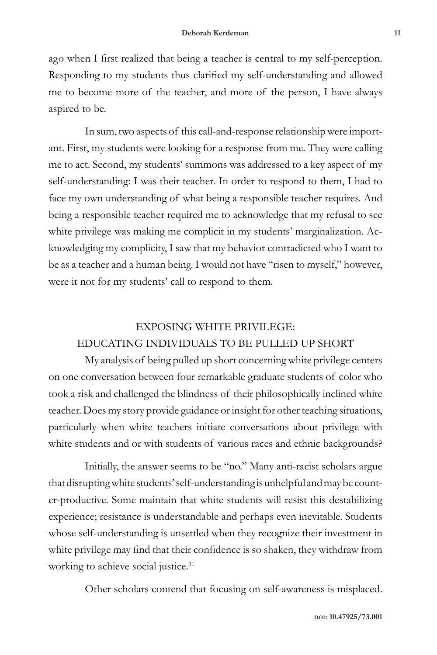ago when I first realized that being a teacher is central to my self-perception. Responding to my students thus clarified my self-understanding and allowed me to become more of the teacher, and more of the person, I have always aspired to be.

In sum, two aspects of this call-and-response relationship were important. First, my students were looking for a response from me. They were calling me to act. Second, my students' summons was addressed to a key aspect of my self-understanding: I was their teacher. In order to respond to them, I had to face my own understanding of what being a responsible teacher requires. And being a responsible teacher required me to acknowledge that my refusal to see white privilege was making me complicit in my students' marginalization. Acknowledging my complicity, I saw that my behavior contradicted who I want to be as a teacher and a human being. I would not have "risen to myself," however, were it not for my students' call to respond to them.

# EXPOSING WHITE PRIVILEGE: EDUCATING INDIVIDUALS TO BE PULLED UP SHORT

My analysis of being pulled up short concerning white privilege centers on one conversation between four remarkable graduate students of color who took a risk and challenged the blindness of their philosophically inclined white teacher. Does my story provide guidance or insight for other teaching situations, particularly when white teachers initiate conversations about privilege with white students and or with students of various races and ethnic backgrounds?

Initially, the answer seems to be "no." Many anti-racist scholars argue that disrupting white students' self-understanding is unhelpful and may be counter-productive. Some maintain that white students will resist this destabilizing experience; resistance is understandable and perhaps even inevitable. Students whose self-understanding is unsettled when they recognize their investment in white privilege may find that their confidence is so shaken, they withdraw from working to achieve social justice.<sup>31</sup>

Other scholars contend that focusing on self-awareness is misplaced.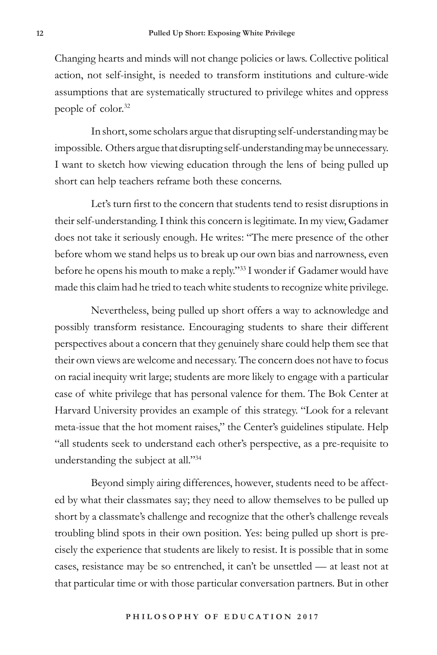Changing hearts and minds will not change policies or laws. Collective political action, not self-insight, is needed to transform institutions and culture-wide assumptions that are systematically structured to privilege whites and oppress people of color.<sup>32</sup>

In short, some scholars argue that disrupting self-understanding may be impossible. Others argue that disrupting self-understanding may be unnecessary. I want to sketch how viewing education through the lens of being pulled up short can help teachers reframe both these concerns.

Let's turn first to the concern that students tend to resist disruptions in their self-understanding. I think this concern is legitimate. In my view, Gadamer does not take it seriously enough. He writes: "The mere presence of the other before whom we stand helps us to break up our own bias and narrowness, even before he opens his mouth to make a reply."33 I wonder if Gadamer would have made this claim had he tried to teach white students to recognize white privilege.

Nevertheless, being pulled up short offers a way to acknowledge and possibly transform resistance. Encouraging students to share their different perspectives about a concern that they genuinely share could help them see that their own views are welcome and necessary. The concern does not have to focus on racial inequity writ large; students are more likely to engage with a particular case of white privilege that has personal valence for them. The Bok Center at Harvard University provides an example of this strategy. "Look for a relevant meta-issue that the hot moment raises," the Center's guidelines stipulate. Help "all students seek to understand each other's perspective, as a pre-requisite to understanding the subject at all."34

Beyond simply airing differences, however, students need to be affected by what their classmates say; they need to allow themselves to be pulled up short by a classmate's challenge and recognize that the other's challenge reveals troubling blind spots in their own position. Yes: being pulled up short is precisely the experience that students are likely to resist. It is possible that in some cases, resistance may be so entrenched, it can't be unsettled — at least not at that particular time or with those particular conversation partners. But in other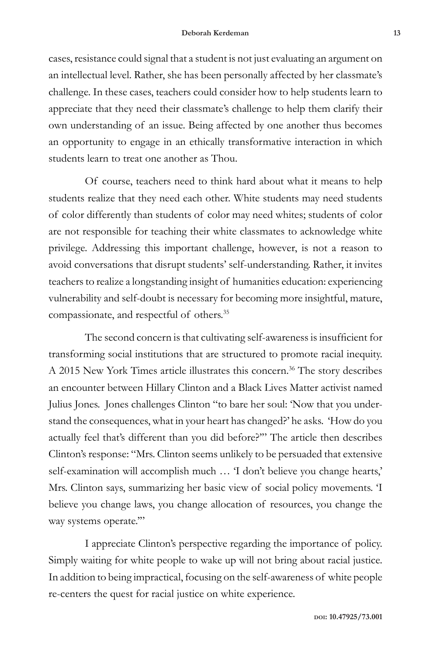cases, resistance could signal that a student is not just evaluating an argument on an intellectual level. Rather, she has been personally affected by her classmate's challenge. In these cases, teachers could consider how to help students learn to appreciate that they need their classmate's challenge to help them clarify their own understanding of an issue. Being affected by one another thus becomes an opportunity to engage in an ethically transformative interaction in which students learn to treat one another as Thou.

Of course, teachers need to think hard about what it means to help students realize that they need each other. White students may need students of color differently than students of color may need whites; students of color are not responsible for teaching their white classmates to acknowledge white privilege. Addressing this important challenge, however, is not a reason to avoid conversations that disrupt students' self-understanding. Rather, it invites teachers to realize a longstanding insight of humanities education: experiencing vulnerability and self-doubt is necessary for becoming more insightful, mature, compassionate, and respectful of others.35

The second concern is that cultivating self-awareness is insufficient for transforming social institutions that are structured to promote racial inequity. A 2015 New York Times article illustrates this concern.<sup>36</sup> The story describes an encounter between Hillary Clinton and a Black Lives Matter activist named Julius Jones. Jones challenges Clinton "to bare her soul: 'Now that you understand the consequences, what in your heart has changed?' he asks. 'How do you actually feel that's different than you did before?'" The article then describes Clinton's response: "Mrs. Clinton seems unlikely to be persuaded that extensive self-examination will accomplish much … 'I don't believe you change hearts,' Mrs. Clinton says, summarizing her basic view of social policy movements. 'I believe you change laws, you change allocation of resources, you change the way systems operate.'"

I appreciate Clinton's perspective regarding the importance of policy. Simply waiting for white people to wake up will not bring about racial justice. In addition to being impractical, focusing on the self-awareness of white people re-centers the quest for racial justice on white experience.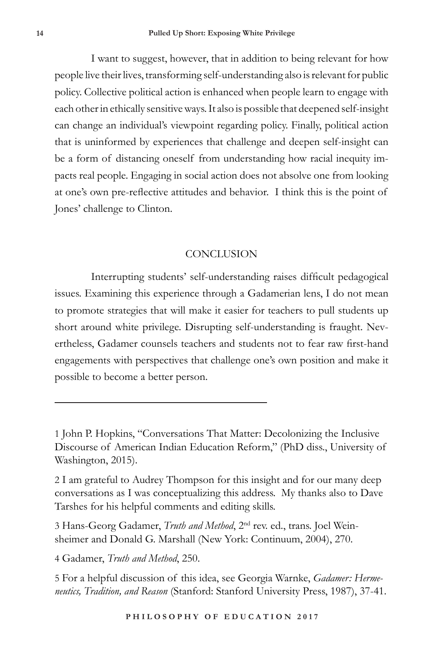I want to suggest, however, that in addition to being relevant for how people live their lives, transforming self-understanding also is relevant for public policy. Collective political action is enhanced when people learn to engage with each other in ethically sensitive ways. It also is possible that deepened self-insight can change an individual's viewpoint regarding policy. Finally, political action that is uninformed by experiences that challenge and deepen self-insight can be a form of distancing oneself from understanding how racial inequity impacts real people. Engaging in social action does not absolve one from looking at one's own pre-reflective attitudes and behavior. I think this is the point of Jones' challenge to Clinton.

#### **CONCLUSION**

Interrupting students' self-understanding raises difficult pedagogical issues. Examining this experience through a Gadamerian lens, I do not mean to promote strategies that will make it easier for teachers to pull students up short around white privilege. Disrupting self-understanding is fraught. Nevertheless, Gadamer counsels teachers and students not to fear raw first-hand engagements with perspectives that challenge one's own position and make it possible to become a better person.

1 John P. Hopkins, "Conversations That Matter: Decolonizing the Inclusive Discourse of American Indian Education Reform," (PhD diss., University of Washington, 2015).

2 I am grateful to Audrey Thompson for this insight and for our many deep conversations as I was conceptualizing this address. My thanks also to Dave Tarshes for his helpful comments and editing skills.

3 Hans-Georg Gadamer, *Truth and Method*, 2nd rev. ed., trans. Joel Weinsheimer and Donald G. Marshall (New York: Continuum, 2004), 270.

4 Gadamer, *Truth and Method*, 250.

5 For a helpful discussion of this idea, see Georgia Warnke, *Gadamer: Hermeneutics, Tradition, and Reason* (Stanford: Stanford University Press, 1987), 37-41.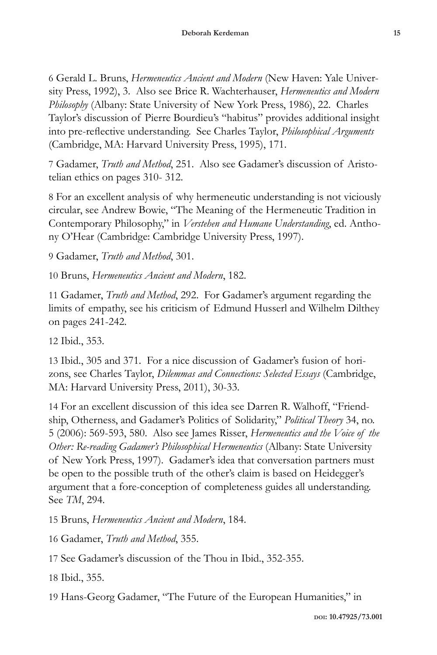6 Gerald L. Bruns, *Hermeneutics Ancient and Modern* (New Haven: Yale University Press, 1992), 3. Also see Brice R. Wachterhauser, *Hermeneutics and Modern Philosophy* (Albany: State University of New York Press, 1986), 22. Charles Taylor's discussion of Pierre Bourdieu's "habitus" provides additional insight into pre-reflective understanding. See Charles Taylor, *Philosophical Arguments* (Cambridge, MA: Harvard University Press, 1995), 171.

7 Gadamer, *Truth and Method*, 251. Also see Gadamer's discussion of Aristotelian ethics on pages 310- 312.

8 For an excellent analysis of why hermeneutic understanding is not viciously circular, see Andrew Bowie, "The Meaning of the Hermeneutic Tradition in Contemporary Philosophy," in *Verstehen and Humane Understanding*, ed. Anthony O'Hear (Cambridge: Cambridge University Press, 1997).

9 Gadamer, *Truth and Method*, 301.

10 Bruns, *Hermeneutics Ancient and Modern*, 182.

11 Gadamer, *Truth and Method*, 292. For Gadamer's argument regarding the limits of empathy, see his criticism of Edmund Husserl and Wilhelm Dilthey on pages 241-242.

12 Ibid., 353.

13 Ibid., 305 and 371. For a nice discussion of Gadamer's fusion of horizons, see Charles Taylor, *Dilemmas and Connections: Selected Essays* (Cambridge, MA: Harvard University Press, 2011), 30-33.

14 For an excellent discussion of this idea see Darren R. Walhoff, "Friendship, Otherness, and Gadamer's Politics of Solidarity," *Political Theory* 34, no. 5 (2006): 569-593, 580. Also see James Risser, *Hermeneutics and the Voice of the Other: Re-reading Gadamer's Philosophical Hermeneutics* (Albany: State University of New York Press, 1997). Gadamer's idea that conversation partners must be open to the possible truth of the other's claim is based on Heidegger's argument that a fore-conception of completeness guides all understanding. See *TM*, 294.

15 Bruns, *Hermeneutics Ancient and Modern*, 184.

16 Gadamer, *Truth and Method*, 355.

17 See Gadamer's discussion of the Thou in Ibid., 352-355.

18 Ibid., 355.

19 Hans-Georg Gadamer, "The Future of the European Humanities," in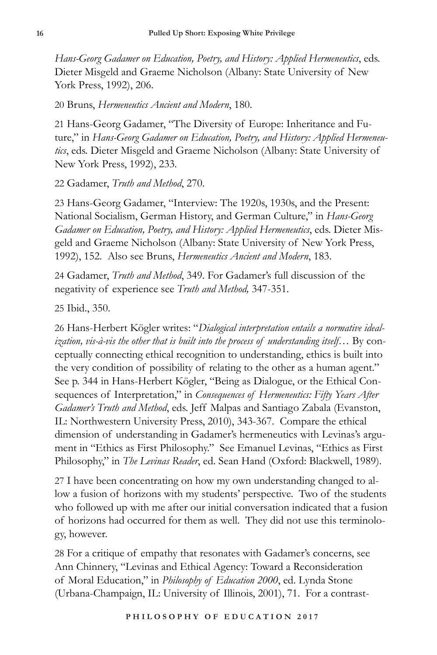*Hans-Georg Gadamer on Education, Poetry, and History: Applied Hermeneutics*, eds. Dieter Misgeld and Graeme Nicholson (Albany: State University of New York Press, 1992), 206.

20 Bruns, *Hermeneutics Ancient and Modern*, 180.

21 Hans-Georg Gadamer, "The Diversity of Europe: Inheritance and Future," in *Hans-Georg Gadamer on Education, Poetry, and History: Applied Hermeneutics*, eds. Dieter Misgeld and Graeme Nicholson (Albany: State University of New York Press, 1992), 233.

# 22 Gadamer, *Truth and Method*, 270.

23 Hans-Georg Gadamer, "Interview: The 1920s, 1930s, and the Present: National Socialism, German History, and German Culture," in *Hans-Georg Gadamer on Education, Poetry, and History: Applied Hermeneutics*, eds. Dieter Misgeld and Graeme Nicholson (Albany: State University of New York Press, 1992), 152. Also see Bruns, *Hermeneutics Ancient and Modern*, 183.

24 Gadamer, *Truth and Method*, 349. For Gadamer's full discussion of the negativity of experience see *Truth and Method,* 347-351.

25 Ibid., 350.

26 Hans-Herbert Kögler writes: "*Dialogical interpretation entails a normative idealization, vis-à-vis the other that is built into the process of understanding itself*… By conceptually connecting ethical recognition to understanding, ethics is built into the very condition of possibility of relating to the other as a human agent." See p. 344 in Hans-Herbert Kögler, "Being as Dialogue, or the Ethical Consequences of Interpretation," in *Consequences of Hermeneutics: Fifty Years After Gadamer's Truth and Method*, eds. Jeff Malpas and Santiago Zabala (Evanston, IL: Northwestern University Press, 2010), 343-367. Compare the ethical dimension of understanding in Gadamer's hermeneutics with Levinas's argument in "Ethics as First Philosophy." See Emanuel Levinas, "Ethics as First Philosophy," in *The Levinas Reader*, ed. Sean Hand (Oxford: Blackwell, 1989).

27 I have been concentrating on how my own understanding changed to allow a fusion of horizons with my students' perspective. Two of the students who followed up with me after our initial conversation indicated that a fusion of horizons had occurred for them as well. They did not use this terminology, however.

28 For a critique of empathy that resonates with Gadamer's concerns, see Ann Chinnery, "Levinas and Ethical Agency: Toward a Reconsideration of Moral Education," in *Philosophy of Education 2000*, ed. Lynda Stone (Urbana-Champaign, IL: University of Illinois, 2001), 71. For a contrast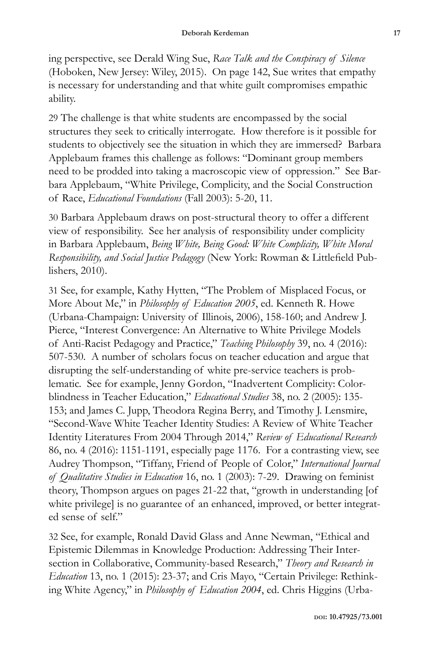ing perspective, see Derald Wing Sue, *Race Talk and the Conspiracy of Silence* (Hoboken, New Jersey: Wiley, 2015). On page 142, Sue writes that empathy is necessary for understanding and that white guilt compromises empathic ability.

29 The challenge is that white students are encompassed by the social structures they seek to critically interrogate. How therefore is it possible for students to objectively see the situation in which they are immersed? Barbara Applebaum frames this challenge as follows: "Dominant group members need to be prodded into taking a macroscopic view of oppression." See Barbara Applebaum, "White Privilege, Complicity, and the Social Construction of Race, *Educational Foundations* (Fall 2003): 5-20, 11.

30 Barbara Applebaum draws on post-structural theory to offer a different view of responsibility. See her analysis of responsibility under complicity in Barbara Applebaum, *Being White, Being Good: White Complicity, White Moral Responsibility, and Social Justice Pedagogy* (New York: Rowman & Littlefield Publishers, 2010).

31 See, for example, Kathy Hytten, "The Problem of Misplaced Focus, or More About Me," in *Philosophy of Education 2005*, ed. Kenneth R. Howe (Urbana-Champaign: University of Illinois, 2006), 158-160; and Andrew J. Pierce, "Interest Convergence: An Alternative to White Privilege Models of Anti-Racist Pedagogy and Practice," *Teaching Philosophy* 39, no. 4 (2016): 507-530. A number of scholars focus on teacher education and argue that disrupting the self-understanding of white pre-service teachers is problematic. See for example, Jenny Gordon, "Inadvertent Complicity: Colorblindness in Teacher Education," *Educational Studies* 38, no. 2 (2005): 135- 153; and James C. Jupp, Theodora Regina Berry, and Timothy J. Lensmire, "Second-Wave White Teacher Identity Studies: A Review of White Teacher Identity Literatures From 2004 Through 2014," *Review of Educational Research* 86, no. 4 (2016): 1151-1191, especially page 1176. For a contrasting view, see Audrey Thompson, "Tiffany, Friend of People of Color," *International Journal of Qualitative Studies in Education* 16, no. 1 (2003): 7-29. Drawing on feminist theory, Thompson argues on pages 21-22 that, "growth in understanding [of white privilege] is no guarantee of an enhanced, improved, or better integrated sense of self."

32 See, for example, Ronald David Glass and Anne Newman, "Ethical and Epistemic Dilemmas in Knowledge Production: Addressing Their Intersection in Collaborative, Community-based Research," *Theory and Research in Education* 13, no. 1 (2015): 23-37; and Cris Mayo, "Certain Privilege: Rethinking White Agency," in *Philosophy of Education 2004*, ed. Chris Higgins (Urba